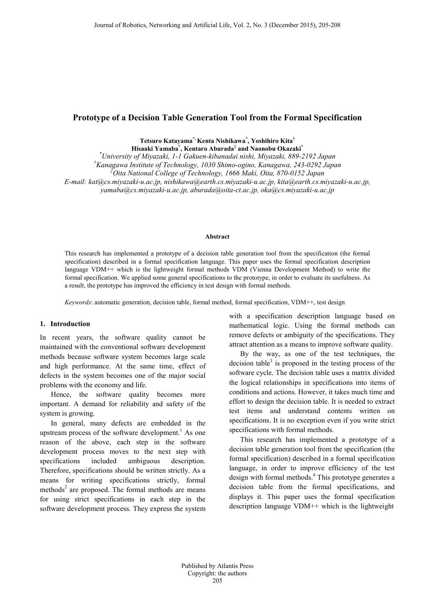# **Prototype of a Decision Table Generation Tool from the Formal Specification**

**Tetsuro Katayama\*, Kenta Nishikawa\* , Yoshihiro Kita† Hisaaki Yamaba\* , Kentaro Aburada‡ and Naonobu Okazaki\***

*\* University of Miyazaki, 1-1 Gakuen-kibanadai nishi, Miyazaki, 889-2192 Japan*

*† Kanagawa Institute of Technology, 1030 Shimo-ogino, Kanagawa, 243-0292 Japan*

*‡ Oita National College of Technology, 1666 Maki, Oita, 870-0152 Japan*

*E-mail: kat@cs.miyazaki-u.ac.jp, nishikawa@earth.cs.miyazaki-u.ac.jp, kita@earth.cs.miyazaki-u.ac.jp,* 

*yamaba@cs.miyazaki-u.ac.jp, aburada@oita-ct.ac.jp, oka@cs.miyazaki-u.ac.jp*

#### **Abstract**

This research has implemented a prototype of a decision table generation tool from the specification (the formal specification) described in a formal specification language. This paper uses the formal specification description language VDM++ which is the lightweight formal methods VDM (Vienna Development Method) to write the formal specification. We applied some general specifications to the prototype, in order to evaluate its usefulness. As a result, the prototype has improved the efficiency in test design with formal methods.

*Keywords*: automatic generation, decision table, formal method, formal specification, VDM++, test design

#### **1. Introduction**

In recent years, the software quality cannot be maintained with the conventional software development methods because software system becomes large scale and high performance. At the same time, effect of defects in the system becomes one of the major social problems with the economy and life.

Hence, the software quality becomes more important. A demand for reliability and safety of the system is growing.

In general, many defects are embedded in the upstream process of the software development. <sup>1</sup> As one reason of the above, each step in the software development process moves to the next step with specifications included ambiguous description. Therefore, specifications should be written strictly. As a means for writing specifications strictly, formal methods $<sup>2</sup>$  are proposed. The formal methods are means</sup> for using strict specifications in each step in the software development process. They express the system

with a specification description language based on mathematical logic. Using the formal methods can remove defects or ambiguity of the specifications. They attract attention as a means to improve software quality.

By the way, as one of the test techniques, the decision table<sup>3</sup> is proposed in the testing process of the software cycle. The decision table uses a matrix divided the logical relationships in specifications into items of conditions and actions. However, it takes much time and effort to design the decision table. It is needed to extract test items and understand contents written on specifications. It is no exception even if you write strict specifications with formal methods.

This research has implemented a prototype of a decision table generation tool from the specification (the formal specification) described in a formal specification language, in order to improve efficiency of the test design with formal methods. <sup>4</sup> This prototype generates a decision table from the formal specifications, and displays it. This paper uses the formal specification description language VDM++ which is the lightweight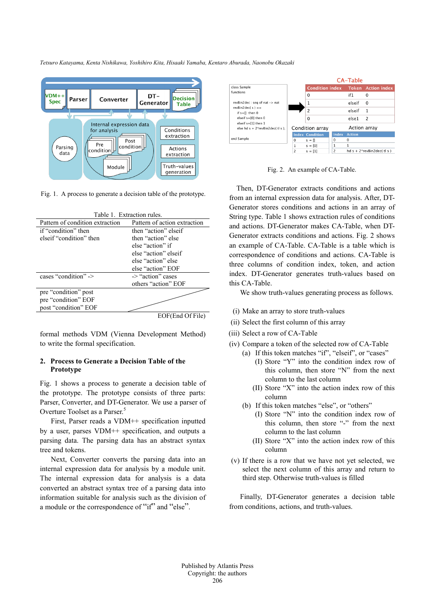*Tetsuro Katayama, Kenta Nishikawa, Yoshihiro Kita, Hisaaki Yamaba, Kentaro Aburada, Naonobu Okazaki*



Fig. 1. A process to generate a decision table of the prototype.

| Table 1. Extraction rules.      |                              |  |  |  |  |  |
|---------------------------------|------------------------------|--|--|--|--|--|
| Pattern of condition extraction | Pattern of action extraction |  |  |  |  |  |
| if "condition" then             | then "action" elseif         |  |  |  |  |  |
| elseif "condition" then         | then "action" else           |  |  |  |  |  |
|                                 | else "action" if             |  |  |  |  |  |
|                                 | else "action" elseif         |  |  |  |  |  |
|                                 | else "action" else           |  |  |  |  |  |
|                                 | else "action" EOF            |  |  |  |  |  |
| cases "condition" ->            | -> "action" cases            |  |  |  |  |  |
|                                 | others "action" EOF          |  |  |  |  |  |
| pre "condition" post            |                              |  |  |  |  |  |
| pre "condition" EOF             |                              |  |  |  |  |  |
| post "condition" EOF            |                              |  |  |  |  |  |
|                                 | EOF(End Of File)             |  |  |  |  |  |

formal methods VDM (Vienna Development Method) to write the formal specification.

### **2. Process to Generate a Decision Table of the Prototype**

Fig. 1 shows a process to generate a decision table of the prototype. The prototype consists of three parts: Parser, Converter, and DT-Generator. We use a parser of Overture Toolset as a Parser.<sup>5</sup>

First, Parser reads a VDM++ specification inputted by a user, parses VDM++ specification, and outputs a parsing data. The parsing data has an abstract syntax tree and tokens.

Next, Converter converts the parsing data into an internal expression data for analysis by a module unit. The internal expression data for analysis is a data converted an abstract syntax tree of a parsing data into information suitable for analysis such as the division of a module or the correspondence of "if" and "else".



Fig. 2. An example of CA-Table.

Then, DT-Generator extracts conditions and actions from an internal expression data for analysis. After, DT-Generator stores conditions and actions in an array of String type. Table 1 shows extraction rules of conditions and actions. DT-Generator makes CA-Table, when DT-Generator extracts conditions and actions. Fig. 2 shows an example of CA-Table. CA-Table is a table which is correspondence of conditions and actions. CA-Table is three columns of condition index, token, and action index. DT-Generator generates truth-values based on this CA-Table.

We show truth-values generating process as follows.

- (i) Make an array to store truth-values
- (ii) Select the first column of this array
- (iii) Select a row of CA-Table
- (iv) Compare a token of the selected row of CA-Table (a) If this token matches "if", "elseif", or "cases"
	- (I) Store "Y" into the condition index row of this column, then store "N" from the next column to the last column
	- (II) Store "X" into the action index row of this column
	- (b) If this token matches "else", or "others"
		- (I) Store "N" into the condition index row of this column, then store "-" from the next column to the last column
		- (II) Store "X" into the action index row of this column
- (v) If there is a row that we have not yet selected, we select the next column of this array and return to third step. Otherwise truth-values is filled

Finally, DT-Generator generates a decision table from conditions, actions, and truth-values.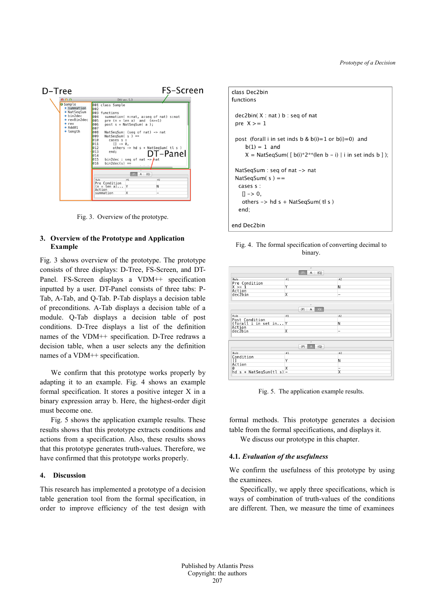

Fig. 3. Overview of the prototype.

## **3. Overview of the Prototype and Application Example**

Fig. 3 shows overview of the prototype. The prototype consists of three displays: D-Tree, FS-Screen, and DT-Panel. FS-Screen displays a VDM++ specification inputted by a user. DT-Panel consists of three tabs: P-Tab, A-Tab, and Q-Tab. P-Tab displays a decision table of preconditions. A-Tab displays a decision table of a module. Q-Tab displays a decision table of post conditions. D-Tree displays a list of the definition names of the VDM++ specification. D-Tree redraws a decision table, when a user selects any the definition names of a VDM++ specification.

We confirm that this prototype works properly by adapting it to an example. Fig. 4 shows an example formal specification. It stores a positive integer X in a binary expression array b. Here, the highest-order digit must become one.

Fig. 5 shows the application example results. These results shows that this prototype extracts conditions and actions from a specification. Also, these results shows that this prototype generates truth-values. Therefore, we have confirmed that this prototype works properly.

### **4. Discussion**

This research has implemented a prototype of a decision table generation tool from the formal specification, in order to improve efficiency of the test design with

```
class Dec2bin
functions
 dec2bin(X : nat) b : seq of natpre X \geq 1post (forall i in set inds b & b(i)=1 or b(i)=0) and
     b(1) = 1 and
     X = NatSeqSum([b(i)*2** (len b - i) | i in set inds b ]);NatSeqSum : seq of nat -> nat
 NatSeqSum(s) ==
  cases s :
   |1 - > 0.
   others \rightarrow hd s + NatSeqSum(tl s)
  end;
end Dec2bin
```


|                                                   | ×<br>$\{P\}$            | $A \{Q\}$      |  |
|---------------------------------------------------|-------------------------|----------------|--|
| Rule                                              | #1                      | #2             |  |
| Pre Condition<br>$X \geq 1$                       | Y                       | N              |  |
| Action                                            |                         |                |  |
| dec2bin                                           | X                       | $\overline{a}$ |  |
| Rule                                              | #1                      | #2             |  |
|                                                   | $\{P\}$                 | $A \{Q\}$      |  |
|                                                   |                         |                |  |
| Post Condition<br>(forall i in set in Y<br>Action |                         | N              |  |
|                                                   |                         |                |  |
| dec2bin                                           | $\overline{\mathsf{x}}$ | -              |  |
|                                                   | ×                       |                |  |
|                                                   | $\{P\}$<br>Δ            | ${Q}$          |  |
| Rule                                              | #1                      | #2             |  |
| Condition                                         | Y                       |                |  |
| H<br>Action                                       |                         | N              |  |
| 0                                                 | X                       | -              |  |
|                                                   |                         | X              |  |

Fig. 5. The application example results.

formal methods. This prototype generates a decision table from the formal specifications, and displays it.

We discuss our prototype in this chapter.

### **4.1.** *Evaluation of the usefulness*

We confirm the usefulness of this prototype by using the examinees.

Specifically, we apply three specifications, which is ways of combination of truth-values of the conditions are different. Then, we measure the time of examinees